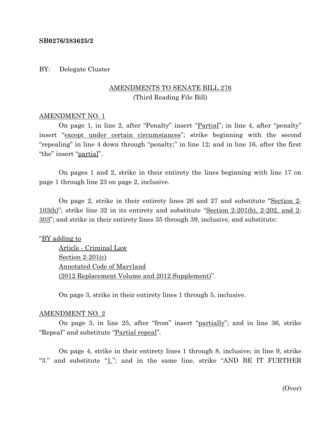#### **SB0276/383625/2**

#### BY: Delegate Cluster

# AMENDMENTS TO SENATE BILL 276 (Third Reading File Bill)

### AMENDMENT NO. 1

On page 1, in line 2, after "Penalty" insert "Partial"; in line 4, after "penalty" insert "except under certain circumstances"; strike beginning with the second "repealing" in line 4 down through "penalty;" in line 12; and in line 16, after the first "the" insert "partial".

On pages 1 and 2, strike in their entirety the lines beginning with line 17 on page 1 through line 23 on page 2, inclusive.

On page 2, strike in their entirety lines 26 and 27 and substitute "Section 2-  $103(h)$ "; strike line 32 in its entirety and substitute "Section 2-201(b), 2-202, and 2-303"; and strike in their entirety lines 35 through 39, inclusive, and substitute:

## "BY adding to

Article - Criminal Law Section 2-201(c) Annotated Code of Maryland (2012 Replacement Volume and 2012 Supplement)".

On page 3, strike in their entirety lines 1 through 5, inclusive.

#### AMENDMENT NO. 2

On page 3, in line 25, after "from" insert "partially"; and in line 36, strike "Repeal" and substitute "Partial repeal".

On page 4, strike in their entirety lines 1 through 8, inclusive; in line 9, strike "3." and substitute " $1$ ."; and in the same line, strike "AND BE IT FURTHER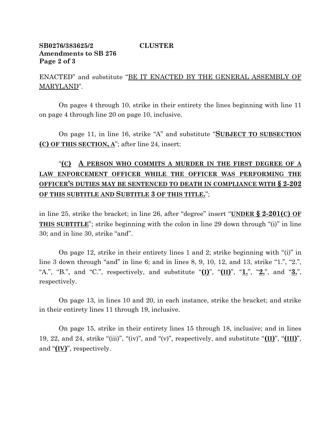# **SB0276/383625/2 CLUSTER Amendments to SB 276 Page 2 of 3**

ENACTED" and substitute "BE IT ENACTED BY THE GENERAL ASSEMBLY OF MARYLAND".

On pages 4 through 10, strike in their entirety the lines beginning with line 11 on page 4 through line 20 on page 10, inclusive.

On page 11, in line 16, strike "A" and substitute "**SUBJECT TO SUBSECTION (C) OF THIS SECTION, A**"; after line 24, insert:

# "**(C) A PERSON WHO COMMITS A MURDER IN THE FIRST DEGREE OF A LAW ENFORCEMENT OFFICER WHILE THE OFFICER WAS PERFORMING THE OFFICER'S DUTIES MAY BE SENTENCED TO DEATH IN COMPLIANCE WITH § 2-202 OF THIS SUBTITLE AND SUBTITLE 3 OF THIS TITLE.**";

in line 25, strike the bracket; in line 26, after "degree" insert "**UNDER § 2-201(C) OF THIS SUBTITLE**"; strike beginning with the colon in line 29 down through "(i)" in line 30; and in line 30, strike "and".

On page 12, strike in their entirety lines 1 and 2; strike beginning with "(i)" in line 3 down through "and" in line 6; and in lines 8, 9, 10, 12, and 13, strike "1.", "2.", "A.", "B.", and "C.", respectively, and substitute " $(I)$ ", " $(I)$ ", " $I$ .", " $2$ .", and " $3$ .", respectively.

On page 13, in lines 10 and 20, in each instance, strike the bracket; and strike in their entirety lines 11 through 19, inclusive.

On page 15, strike in their entirety lines 15 through 18, inclusive; and in lines 19, 22, and 24, strike "(iii)", "(iv)", and "(v)", respectively, and substitute "**(II)**", "**(III)**", and "**(IV)**", respectively.